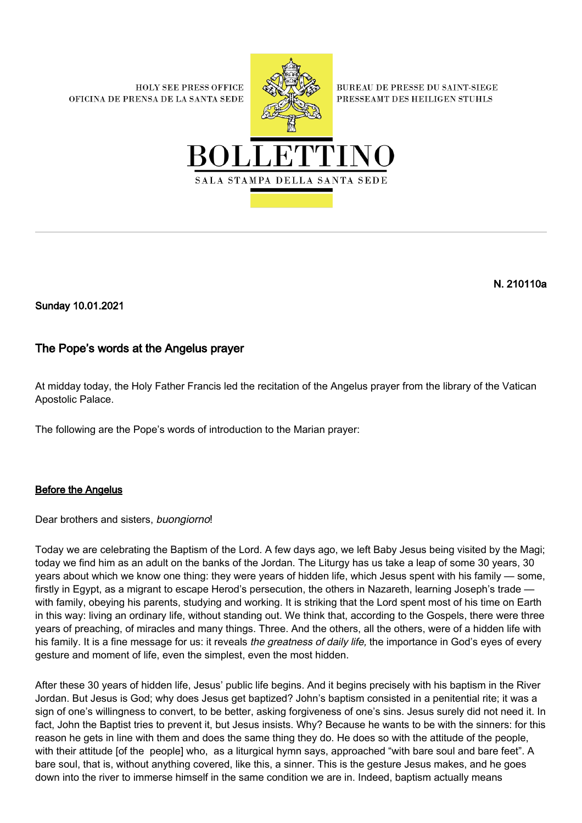**HOLY SEE PRESS OFFICE** OFICINA DE PRENSA DE LA SANTA SEDE



**BUREAU DE PRESSE DU SAINT-SIEGE** PRESSEAMT DES HEILIGEN STUHLS



## N. 210110a

Sunday 10.01.2021

## The Pope's words at the Angelus prayer

At midday today, the Holy Father Francis led the recitation of the Angelus prayer from the library of the Vatican Apostolic Palace.

The following are the Pope's words of introduction to the Marian prayer:

## Before the Angelus

Dear brothers and sisters, buongiorno!

Today we are celebrating the Baptism of the Lord. A few days ago, we left Baby Jesus being visited by the Magi; today we find him as an adult on the banks of the Jordan. The Liturgy has us take a leap of some 30 years, 30 years about which we know one thing: they were years of hidden life, which Jesus spent with his family — some, firstly in Egypt, as a migrant to escape Herod's persecution, the others in Nazareth, learning Joseph's trade with family, obeying his parents, studying and working. It is striking that the Lord spent most of his time on Earth in this way: living an ordinary life, without standing out. We think that, according to the Gospels, there were three years of preaching, of miracles and many things. Three. And the others, all the others, were of a hidden life with his family. It is a fine message for us: it reveals the greatness of daily life, the importance in God's eyes of every gesture and moment of life, even the simplest, even the most hidden.

After these 30 years of hidden life, Jesus' public life begins. And it begins precisely with his baptism in the River Jordan. But Jesus is God; why does Jesus get baptized? John's baptism consisted in a penitential rite; it was a sign of one's willingness to convert, to be better, asking forgiveness of one's sins. Jesus surely did not need it. In fact, John the Baptist tries to prevent it, but Jesus insists. Why? Because he wants to be with the sinners: for this reason he gets in line with them and does the same thing they do. He does so with the attitude of the people, with their attitude [of the people] who, as a liturgical hymn says, approached "with bare soul and bare feet". A bare soul, that is, without anything covered, like this, a sinner. This is the gesture Jesus makes, and he goes down into the river to immerse himself in the same condition we are in. Indeed, baptism actually means